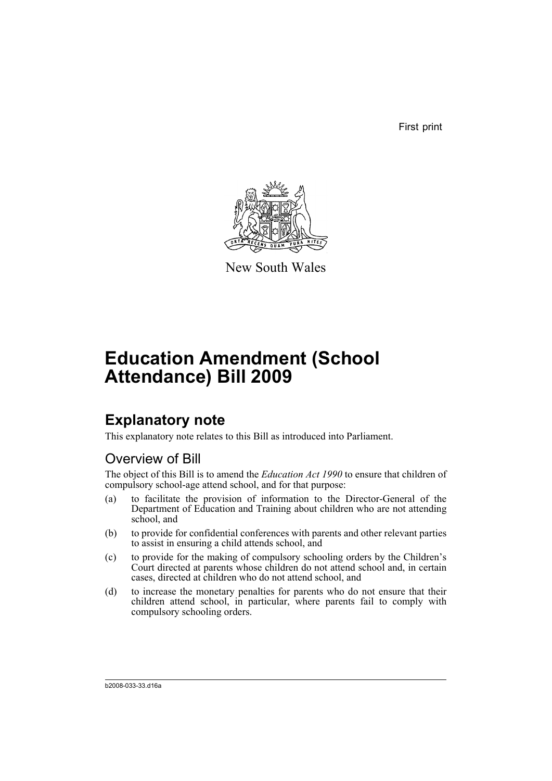First print



New South Wales

# **Education Amendment (School Attendance) Bill 2009**

# **Explanatory note**

This explanatory note relates to this Bill as introduced into Parliament.

## Overview of Bill

The object of this Bill is to amend the *Education Act 1990* to ensure that children of compulsory school-age attend school, and for that purpose:

- (a) to facilitate the provision of information to the Director-General of the Department of Education and Training about children who are not attending school, and
- (b) to provide for confidential conferences with parents and other relevant parties to assist in ensuring a child attends school, and
- (c) to provide for the making of compulsory schooling orders by the Children's Court directed at parents whose children do not attend school and, in certain cases, directed at children who do not attend school, and
- (d) to increase the monetary penalties for parents who do not ensure that their children attend school, in particular, where parents fail to comply with compulsory schooling orders.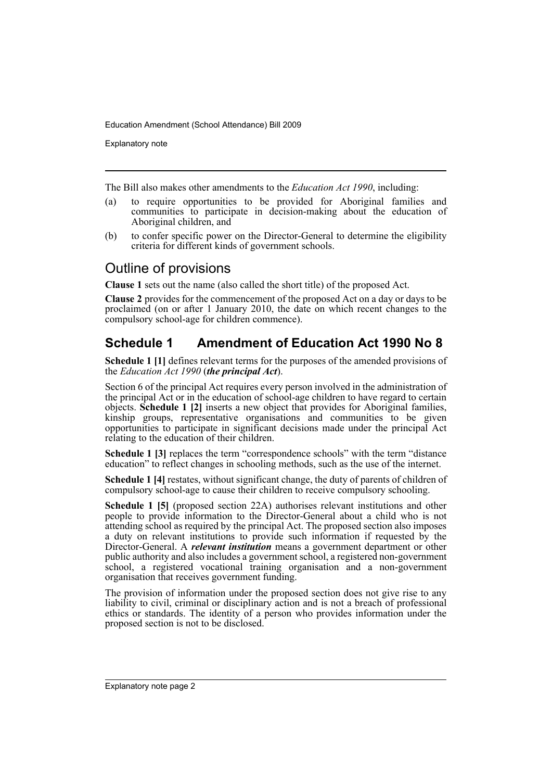Explanatory note

The Bill also makes other amendments to the *Education Act 1990*, including:

- (a) to require opportunities to be provided for Aboriginal families and communities to participate in decision-making about the education of Aboriginal children, and
- (b) to confer specific power on the Director-General to determine the eligibility criteria for different kinds of government schools.

## Outline of provisions

**Clause 1** sets out the name (also called the short title) of the proposed Act.

**Clause 2** provides for the commencement of the proposed Act on a day or days to be proclaimed (on or after 1 January 2010, the date on which recent changes to the compulsory school-age for children commence).

## **Schedule 1 Amendment of Education Act 1990 No 8**

**Schedule 1 [1]** defines relevant terms for the purposes of the amended provisions of the *Education Act 1990* (*the principal Act*).

Section 6 of the principal Act requires every person involved in the administration of the principal Act or in the education of school-age children to have regard to certain objects. **Schedule 1 [2]** inserts a new object that provides for Aboriginal families, kinship groups, representative organisations and communities to be given opportunities to participate in significant decisions made under the principal Act relating to the education of their children.

**Schedule 1 [3]** replaces the term "correspondence schools" with the term "distance" education" to reflect changes in schooling methods, such as the use of the internet.

**Schedule 1 [4]** restates, without significant change, the duty of parents of children of compulsory school-age to cause their children to receive compulsory schooling.

**Schedule 1 [5]** (proposed section 22A) authorises relevant institutions and other people to provide information to the Director-General about a child who is not attending school as required by the principal Act. The proposed section also imposes a duty on relevant institutions to provide such information if requested by the Director-General. A *relevant institution* means a government department or other public authority and also includes a government school, a registered non-government school, a registered vocational training organisation and a non-government organisation that receives government funding.

The provision of information under the proposed section does not give rise to any liability to civil, criminal or disciplinary action and is not a breach of professional ethics or standards. The identity of a person who provides information under the proposed section is not to be disclosed.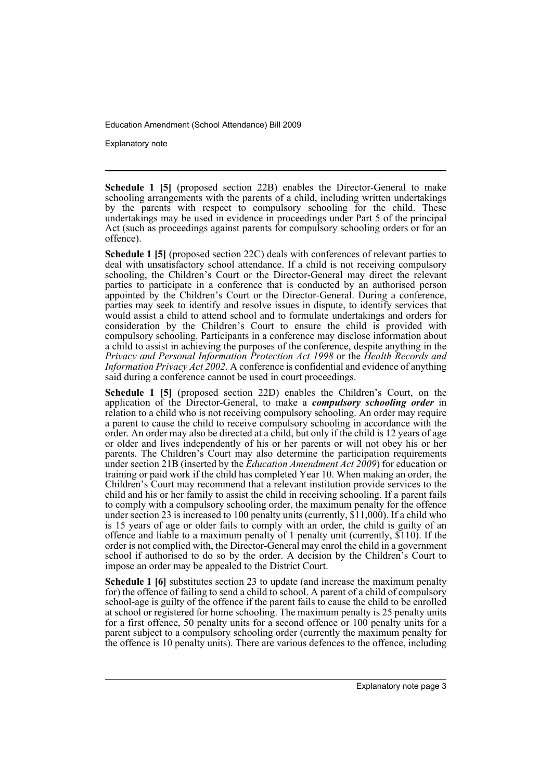Explanatory note

**Schedule 1 [5]** (proposed section 22B) enables the Director-General to make schooling arrangements with the parents of a child, including written undertakings by the parents with respect to compulsory schooling for the child. These undertakings may be used in evidence in proceedings under Part 5 of the principal Act (such as proceedings against parents for compulsory schooling orders or for an offence).

**Schedule 1 [5]** (proposed section 22C) deals with conferences of relevant parties to deal with unsatisfactory school attendance. If a child is not receiving compulsory schooling, the Children's Court or the Director-General may direct the relevant parties to participate in a conference that is conducted by an authorised person appointed by the Children's Court or the Director-General. During a conference, parties may seek to identify and resolve issues in dispute, to identify services that would assist a child to attend school and to formulate undertakings and orders for consideration by the Children's Court to ensure the child is provided with compulsory schooling. Participants in a conference may disclose information about a child to assist in achieving the purposes of the conference, despite anything in the *Privacy and Personal Information Protection Act 1998* or the *Health Records and Information Privacy Act 2002*. A conference is confidential and evidence of anything said during a conference cannot be used in court proceedings.

**Schedule 1 [5]** (proposed section 22D) enables the Children's Court, on the application of the Director-General, to make a *compulsory schooling order* in relation to a child who is not receiving compulsory schooling. An order may require a parent to cause the child to receive compulsory schooling in accordance with the order. An order may also be directed at a child, but only if the child is 12 years of age or older and lives independently of his or her parents or will not obey his or her parents. The Children's Court may also determine the participation requirements under section 21B (inserted by the *Education Amendment Act 2009*) for education or training or paid work if the child has completed Year 10. When making an order, the Children's Court may recommend that a relevant institution provide services to the child and his or her family to assist the child in receiving schooling. If a parent fails to comply with a compulsory schooling order, the maximum penalty for the offence under section 23 is increased to 100 penalty units (currently, \$11,000). If a child who is 15 years of age or older fails to comply with an order, the child is guilty of an offence and liable to a maximum penalty of 1 penalty unit (currently, \$110). If the order is not complied with, the Director-General may enrol the child in a government school if authorised to do so by the order. A decision by the Children's Court to impose an order may be appealed to the District Court.

**Schedule 1 [6]** substitutes section 23 to update (and increase the maximum penalty for) the offence of failing to send a child to school. A parent of a child of compulsory school-age is guilty of the offence if the parent fails to cause the child to be enrolled at school or registered for home schooling. The maximum penalty is 25 penalty units for a first offence, 50 penalty units for a second offence or 100 penalty units for a parent subject to a compulsory schooling order (currently the maximum penalty for the offence is 10 penalty units). There are various defences to the offence, including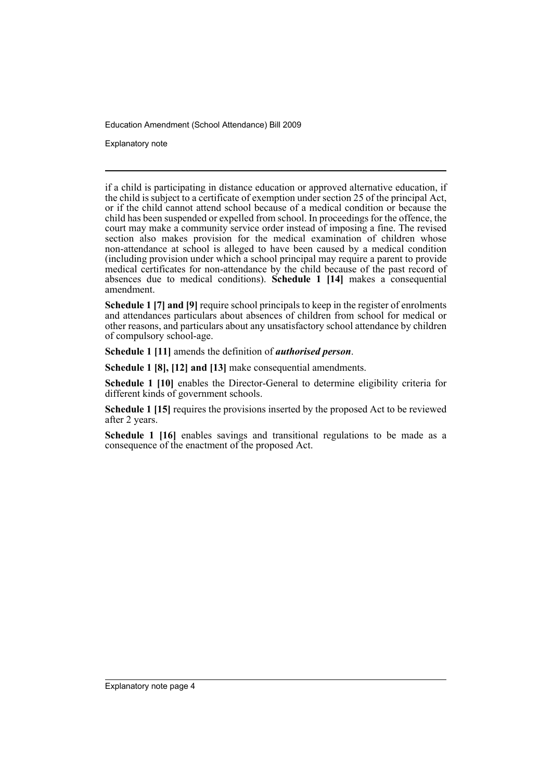Explanatory note

if a child is participating in distance education or approved alternative education, if the child is subject to a certificate of exemption under section 25 of the principal Act, or if the child cannot attend school because of a medical condition or because the child has been suspended or expelled from school. In proceedings for the offence, the court may make a community service order instead of imposing a fine. The revised section also makes provision for the medical examination of children whose non-attendance at school is alleged to have been caused by a medical condition (including provision under which a school principal may require a parent to provide medical certificates for non-attendance by the child because of the past record of absences due to medical conditions). **Schedule 1 [14]** makes a consequential amendment.

**Schedule 1 [7] and [9]** require school principals to keep in the register of enrolments and attendances particulars about absences of children from school for medical or other reasons, and particulars about any unsatisfactory school attendance by children of compulsory school-age.

**Schedule 1 [11]** amends the definition of *authorised person*.

**Schedule 1 [8], [12] and [13]** make consequential amendments.

**Schedule 1 [10]** enables the Director-General to determine eligibility criteria for different kinds of government schools.

**Schedule 1 [15]** requires the provisions inserted by the proposed Act to be reviewed after 2 years.

Schedule 1 [16] enables savings and transitional regulations to be made as a consequence of the enactment of the proposed Act.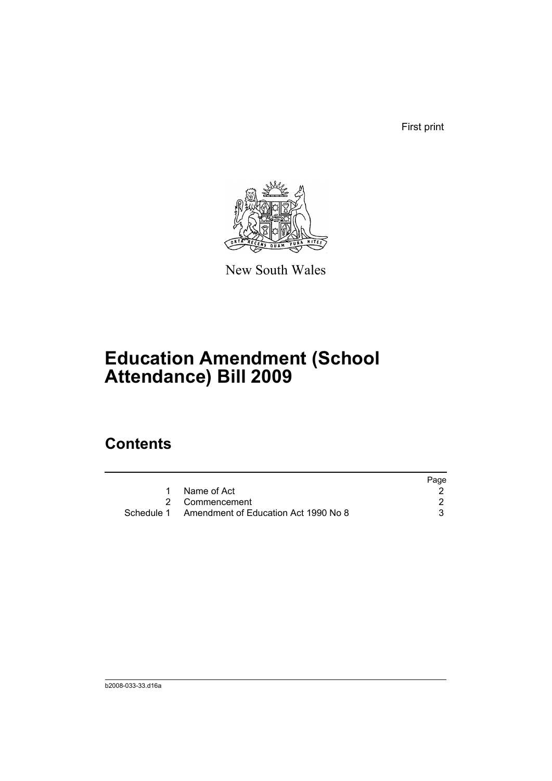First print



New South Wales

# **Education Amendment (School Attendance) Bill 2009**

## **Contents**

|                                                 | Page |
|-------------------------------------------------|------|
| Name of Act                                     |      |
| 2 Commencement                                  |      |
| Schedule 1 Amendment of Education Act 1990 No 8 |      |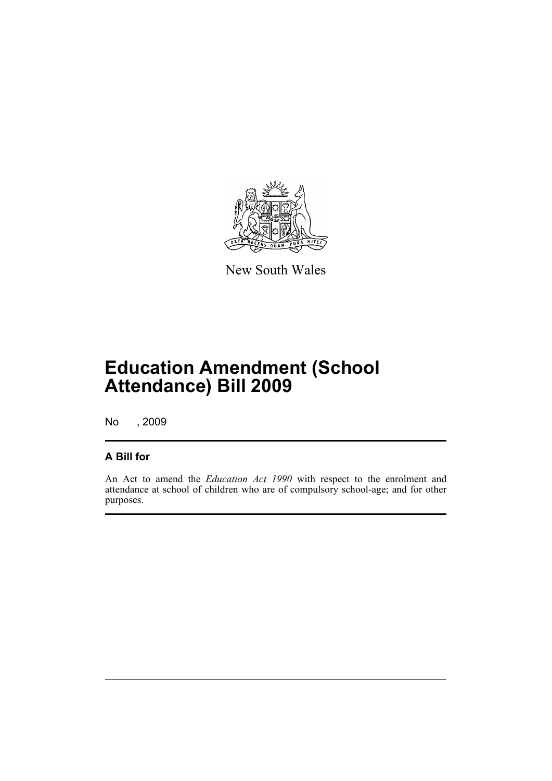

New South Wales

# **Education Amendment (School Attendance) Bill 2009**

No , 2009

## **A Bill for**

An Act to amend the *Education Act 1990* with respect to the enrolment and attendance at school of children who are of compulsory school-age; and for other purposes.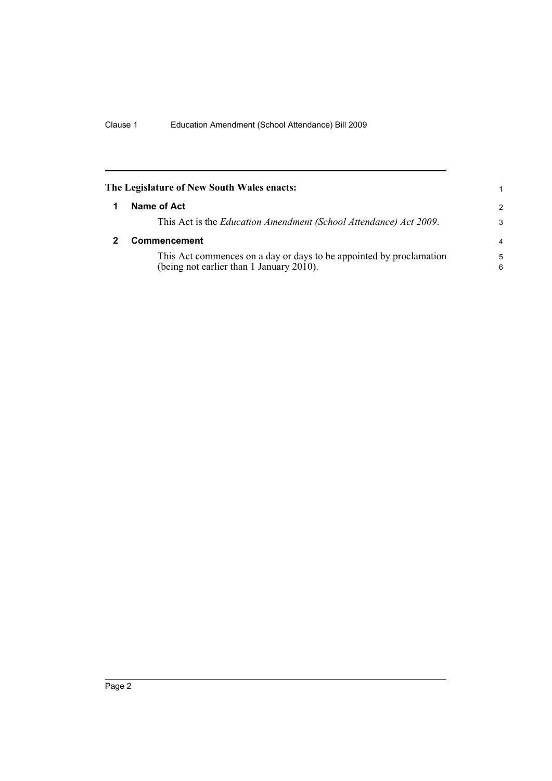<span id="page-7-1"></span><span id="page-7-0"></span>

| The Legislature of New South Wales enacts: |                                                                                                                 |               |
|--------------------------------------------|-----------------------------------------------------------------------------------------------------------------|---------------|
| 1                                          | Name of Act                                                                                                     | $\mathcal{P}$ |
|                                            | This Act is the <i>Education Amendment (School Attendance) Act 2009</i> .                                       | 3             |
|                                            | <b>Commencement</b>                                                                                             | 4             |
|                                            | This Act commences on a day or days to be appointed by proclamation<br>(being not earlier than 1 January 2010). | 5<br>6        |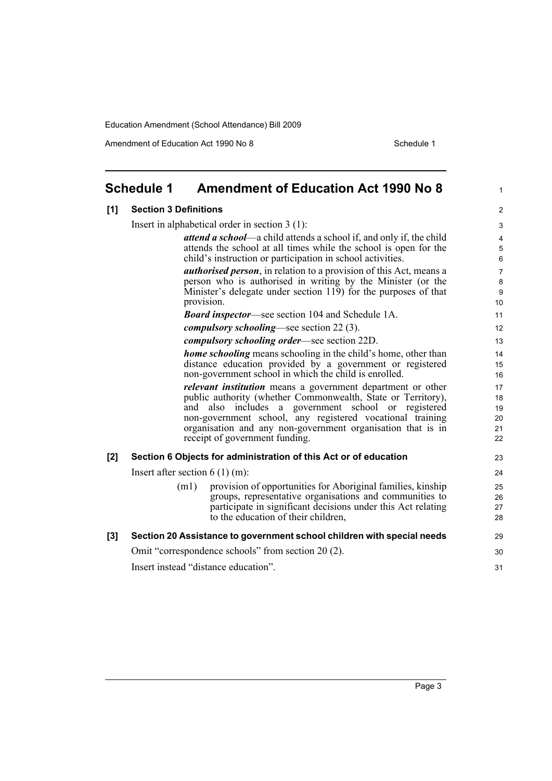Amendment of Education Act 1990 No 8 Schedule 1

<span id="page-8-0"></span>

|       | <b>Schedule 1</b>                                | <b>Amendment of Education Act 1990 No 8</b>                                                                                                                                                                                                                                                                                                                | 1                                             |
|-------|--------------------------------------------------|------------------------------------------------------------------------------------------------------------------------------------------------------------------------------------------------------------------------------------------------------------------------------------------------------------------------------------------------------------|-----------------------------------------------|
| [1]   | <b>Section 3 Definitions</b>                     |                                                                                                                                                                                                                                                                                                                                                            | $\overline{2}$                                |
|       | Insert in alphabetical order in section $3(1)$ : |                                                                                                                                                                                                                                                                                                                                                            |                                               |
|       |                                                  | attend a school—a child attends a school if, and only if, the child                                                                                                                                                                                                                                                                                        | $\overline{4}$                                |
|       |                                                  | attends the school at all times while the school is open for the<br>child's instruction or participation in school activities.                                                                                                                                                                                                                             | 5<br>$\,6\,$                                  |
|       |                                                  | <b><i>authorised person</i></b> , in relation to a provision of this Act, means a<br>person who is authorised in writing by the Minister (or the<br>Minister's delegate under section 119) for the purposes of that<br>provision.                                                                                                                          | $\overline{7}$<br>8<br>$\boldsymbol{9}$<br>10 |
|       |                                                  | <b>Board inspector—see section 104 and Schedule 1A.</b>                                                                                                                                                                                                                                                                                                    | 11                                            |
|       |                                                  | <i>compulsory schooling—see section 22 (3).</i>                                                                                                                                                                                                                                                                                                            | 12                                            |
|       |                                                  | <i>compulsory schooling order—see section 22D.</i>                                                                                                                                                                                                                                                                                                         | 13                                            |
|       |                                                  | <b>home schooling</b> means schooling in the child's home, other than<br>distance education provided by a government or registered<br>non-government school in which the child is enrolled.                                                                                                                                                                | 14<br>15<br>16                                |
|       |                                                  | <i>relevant institution</i> means a government department or other<br>public authority (whether Commonwealth, State or Territory),<br>also includes a government school or registered<br>and<br>non-government school, any registered vocational training<br>organisation and any non-government organisation that is in<br>receipt of government funding. | 17<br>18<br>19<br>20<br>21<br>22              |
| $[2]$ |                                                  | Section 6 Objects for administration of this Act or of education                                                                                                                                                                                                                                                                                           | 23                                            |
|       |                                                  | Insert after section $6(1)(m)$ :                                                                                                                                                                                                                                                                                                                           | 24                                            |
|       | (m1)                                             | provision of opportunities for Aboriginal families, kinship<br>groups, representative organisations and communities to<br>participate in significant decisions under this Act relating<br>to the education of their children,                                                                                                                              | 25<br>26<br>27<br>28                          |
| [3]   |                                                  | Section 20 Assistance to government school children with special needs                                                                                                                                                                                                                                                                                     | 29                                            |
|       |                                                  | Omit "correspondence schools" from section 20 (2).                                                                                                                                                                                                                                                                                                         | 30                                            |
|       |                                                  | Insert instead "distance education".                                                                                                                                                                                                                                                                                                                       | 31                                            |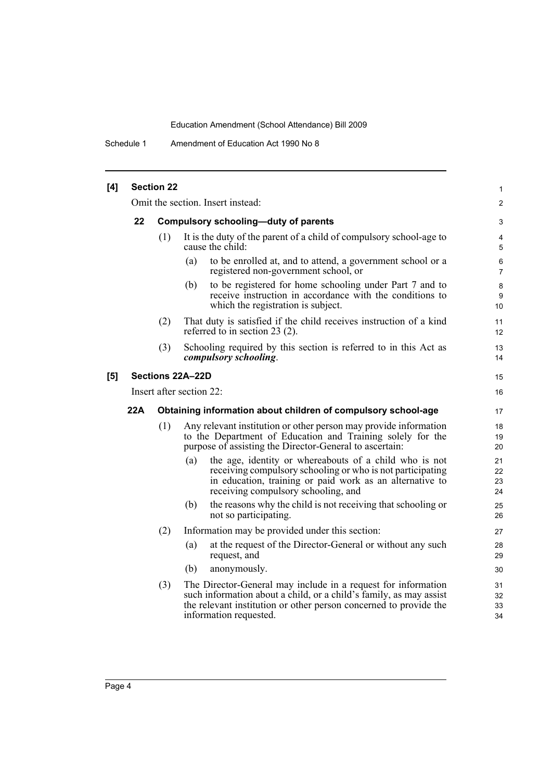Schedule 1 Amendment of Education Act 1990 No 8

| [4] |                                            | <b>Section 22</b> |                                                                                                                                                                                                                                | 1                    |
|-----|--------------------------------------------|-------------------|--------------------------------------------------------------------------------------------------------------------------------------------------------------------------------------------------------------------------------|----------------------|
|     |                                            |                   | Omit the section. Insert instead:                                                                                                                                                                                              | 2                    |
|     | 22<br>Compulsory schooling-duty of parents |                   |                                                                                                                                                                                                                                | 3                    |
|     |                                            | (1)               | It is the duty of the parent of a child of compulsory school-age to<br>cause the child:                                                                                                                                        | 4<br>5               |
|     |                                            |                   | (a)<br>to be enrolled at, and to attend, a government school or a<br>registered non-government school, or                                                                                                                      | 6<br>$\overline{7}$  |
|     |                                            |                   | to be registered for home schooling under Part 7 and to<br>(b)<br>receive instruction in accordance with the conditions to<br>which the registration is subject.                                                               | $\bf 8$<br>9<br>10   |
|     |                                            | (2)               | That duty is satisfied if the child receives instruction of a kind<br>referred to in section 23 $(2)$ .                                                                                                                        | 11<br>12             |
|     |                                            | (3)               | Schooling required by this section is referred to in this Act as<br>compulsory schooling.                                                                                                                                      | 13<br>14             |
| [5] |                                            |                   | Sections 22A-22D                                                                                                                                                                                                               | 15                   |
|     |                                            |                   | Insert after section 22:                                                                                                                                                                                                       | 16                   |
|     |                                            |                   |                                                                                                                                                                                                                                |                      |
|     | <b>22A</b>                                 |                   | Obtaining information about children of compulsory school-age                                                                                                                                                                  | 17                   |
|     |                                            | (1)               | Any relevant institution or other person may provide information<br>to the Department of Education and Training solely for the<br>purpose of assisting the Director-General to ascertain:                                      | 18<br>19<br>20       |
|     |                                            |                   | the age, identity or whereabouts of a child who is not<br>(a)<br>receiving compulsory schooling or who is not participating<br>in education, training or paid work as an alternative to<br>receiving compulsory schooling, and | 21<br>22<br>23<br>24 |
|     |                                            |                   | the reasons why the child is not receiving that schooling or<br>(b)<br>not so participating.                                                                                                                                   | 25<br>26             |
|     |                                            | (2)               | Information may be provided under this section:                                                                                                                                                                                | 27                   |
|     |                                            |                   | at the request of the Director-General or without any such<br>(a)<br>request, and                                                                                                                                              | 28<br>29             |
|     |                                            |                   | (b)<br>anonymously.                                                                                                                                                                                                            | 30                   |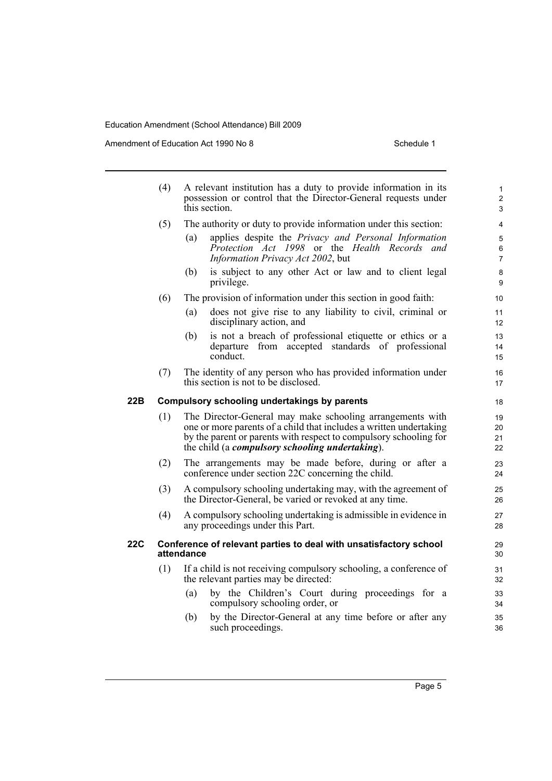Amendment of Education Act 1990 No 8 Schedule 1

|     | (4)                                                                             | A relevant institution has a duty to provide information in its<br>possession or control that the Director-General requests under<br>this section.                                                                                                              |                                    |
|-----|---------------------------------------------------------------------------------|-----------------------------------------------------------------------------------------------------------------------------------------------------------------------------------------------------------------------------------------------------------------|------------------------------------|
|     | (5)                                                                             | The authority or duty to provide information under this section:                                                                                                                                                                                                | 4                                  |
|     |                                                                                 | applies despite the Privacy and Personal Information<br>(a)<br>Protection Act 1998 or the Health Records and<br>Information Privacy Act 2002, but                                                                                                               | $\mathbf 5$<br>6<br>$\overline{7}$ |
|     |                                                                                 | is subject to any other Act or law and to client legal<br>(b)<br>privilege.                                                                                                                                                                                     | 8<br>9                             |
|     | (6)                                                                             | The provision of information under this section in good faith:                                                                                                                                                                                                  | 10                                 |
|     |                                                                                 | does not give rise to any liability to civil, criminal or<br>(a)<br>disciplinary action, and                                                                                                                                                                    | 11<br>12                           |
|     |                                                                                 | is not a breach of professional etiquette or ethics or a<br>(b)<br>departure from accepted standards of professional<br>conduct.                                                                                                                                | 13<br>14<br>15                     |
|     | (7)                                                                             | The identity of any person who has provided information under<br>this section is not to be disclosed.                                                                                                                                                           | 16<br>17                           |
| 22B |                                                                                 | Compulsory schooling undertakings by parents                                                                                                                                                                                                                    | 18                                 |
|     | (1)                                                                             | The Director-General may make schooling arrangements with<br>one or more parents of a child that includes a written undertaking<br>by the parent or parents with respect to compulsory schooling for<br>the child (a <i>compulsory schooling undertaking</i> ). | 19<br>20<br>21<br>22               |
|     | (2)                                                                             | The arrangements may be made before, during or after a<br>conference under section 22C concerning the child.                                                                                                                                                    | 23<br>24                           |
|     | (3)                                                                             | A compulsory schooling undertaking may, with the agreement of<br>the Director-General, be varied or revoked at any time.                                                                                                                                        | 25<br>26                           |
|     | (4)                                                                             | A compulsory schooling undertaking is admissible in evidence in<br>any proceedings under this Part.                                                                                                                                                             | 27<br>28                           |
| 22C | Conference of relevant parties to deal with unsatisfactory school<br>attendance |                                                                                                                                                                                                                                                                 |                                    |
|     | (1)                                                                             | If a child is not receiving compulsory schooling, a conference of<br>the relevant parties may be directed:                                                                                                                                                      | 31<br>32                           |
|     |                                                                                 | by the Children's Court during proceedings for a<br>(a)<br>compulsory schooling order, or                                                                                                                                                                       | 33<br>34                           |
|     |                                                                                 | by the Director-General at any time before or after any<br>(b)<br>such proceedings.                                                                                                                                                                             | 35<br>36                           |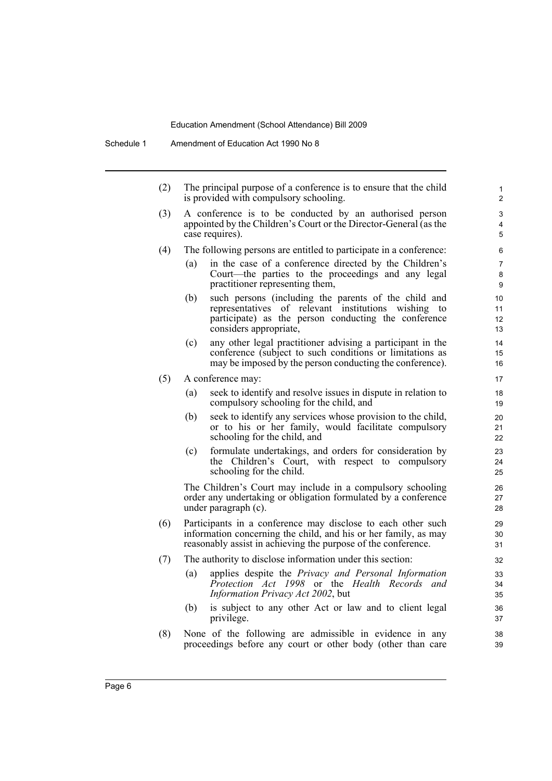Schedule 1 Amendment of Education Act 1990 No 8

(2) The principal purpose of a conference is to ensure that the child is provided with compulsory schooling.

- (3) A conference is to be conducted by an authorised person appointed by the Children's Court or the Director-General (as the case requires).
- (4) The following persons are entitled to participate in a conference:
	- (a) in the case of a conference directed by the Children's Court—the parties to the proceedings and any legal practitioner representing them,
	- (b) such persons (including the parents of the child and representatives of relevant institutions wishing to participate) as the person conducting the conference considers appropriate,
	- (c) any other legal practitioner advising a participant in the conference (subject to such conditions or limitations as may be imposed by the person conducting the conference).
- (5) A conference may:
	- (a) seek to identify and resolve issues in dispute in relation to compulsory schooling for the child, and
	- (b) seek to identify any services whose provision to the child, or to his or her family, would facilitate compulsory schooling for the child, and
	- (c) formulate undertakings, and orders for consideration by the Children's Court, with respect to compulsory schooling for the child.

The Children's Court may include in a compulsory schooling order any undertaking or obligation formulated by a conference under paragraph (c).

- (6) Participants in a conference may disclose to each other such information concerning the child, and his or her family, as may reasonably assist in achieving the purpose of the conference.
- (7) The authority to disclose information under this section:
	- (a) applies despite the *Privacy and Personal Information Protection Act 1998* or the *Health Records and Information Privacy Act 2002*, but
	- (b) is subject to any other Act or law and to client legal privilege.
- (8) None of the following are admissible in evidence in any proceedings before any court or other body (other than care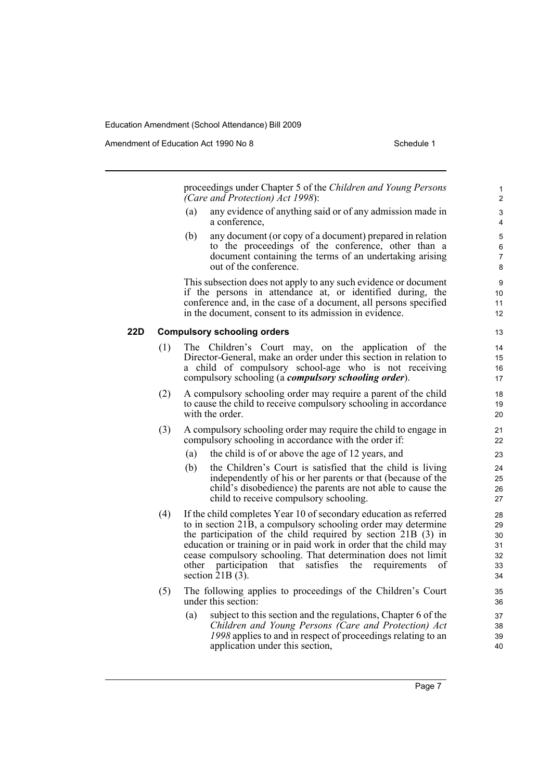Amendment of Education Act 1990 No 8 Schedule 1

proceedings under Chapter 5 of the *Children and Young Persons (Care and Protection) Act 1998*):

- (a) any evidence of anything said or of any admission made in a conference,
- (b) any document (or copy of a document) prepared in relation to the proceedings of the conference, other than a document containing the terms of an undertaking arising out of the conference.

This subsection does not apply to any such evidence or document if the persons in attendance at, or identified during, the conference and, in the case of a document, all persons specified in the document, consent to its admission in evidence.

#### **22D Compulsory schooling orders**

- (1) The Children's Court may, on the application of the Director-General, make an order under this section in relation to a child of compulsory school-age who is not receiving compulsory schooling (a *compulsory schooling order*).
- (2) A compulsory schooling order may require a parent of the child to cause the child to receive compulsory schooling in accordance with the order.
- (3) A compulsory schooling order may require the child to engage in compulsory schooling in accordance with the order if:
	- (a) the child is of or above the age of 12 years, and
	- (b) the Children's Court is satisfied that the child is living independently of his or her parents or that (because of the child's disobedience) the parents are not able to cause the child to receive compulsory schooling.
- (4) If the child completes Year 10 of secondary education as referred to in section 21B, a compulsory schooling order may determine the participation of the child required by section 21B (3) in education or training or in paid work in order that the child may cease compulsory schooling. That determination does not limit other participation that satisfies the requirements of section  $\overline{2}$ 1B (3).
- (5) The following applies to proceedings of the Children's Court under this section:
	- (a) subject to this section and the regulations, Chapter 6 of the *Children and Young Persons (Care and Protection) Act 1998* applies to and in respect of proceedings relating to an application under this section,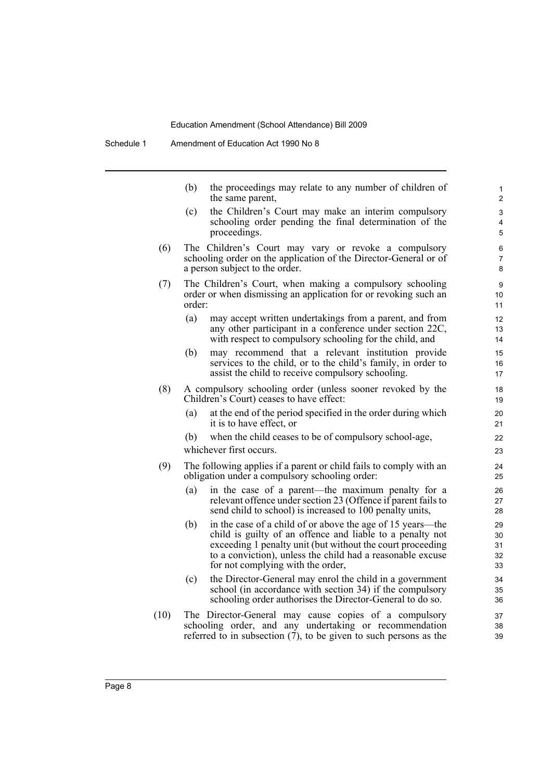(b) the proceedings may relate to any number of children of the same parent,

- (c) the Children's Court may make an interim compulsory schooling order pending the final determination of the proceedings.
- (6) The Children's Court may vary or revoke a compulsory schooling order on the application of the Director-General or of a person subject to the order.
- (7) The Children's Court, when making a compulsory schooling order or when dismissing an application for or revoking such an order:
	- (a) may accept written undertakings from a parent, and from any other participant in a conference under section 22C, with respect to compulsory schooling for the child, and
	- (b) may recommend that a relevant institution provide services to the child, or to the child's family, in order to assist the child to receive compulsory schooling.
- (8) A compulsory schooling order (unless sooner revoked by the Children's Court) ceases to have effect:
	- (a) at the end of the period specified in the order during which it is to have effect, or
	- (b) when the child ceases to be of compulsory school-age, whichever first occurs.
- (9) The following applies if a parent or child fails to comply with an obligation under a compulsory schooling order:
	- (a) in the case of a parent—the maximum penalty for a relevant offence under section 23 (Offence if parent fails to send child to school) is increased to 100 penalty units,
	- (b) in the case of a child of or above the age of 15 years—the child is guilty of an offence and liable to a penalty not exceeding 1 penalty unit (but without the court proceeding to a conviction), unless the child had a reasonable excuse for not complying with the order,
	- (c) the Director-General may enrol the child in a government school (in accordance with section 34) if the compulsory schooling order authorises the Director-General to do so.
- (10) The Director-General may cause copies of a compulsory schooling order, and any undertaking or recommendation referred to in subsection  $(7)$ , to be given to such persons as the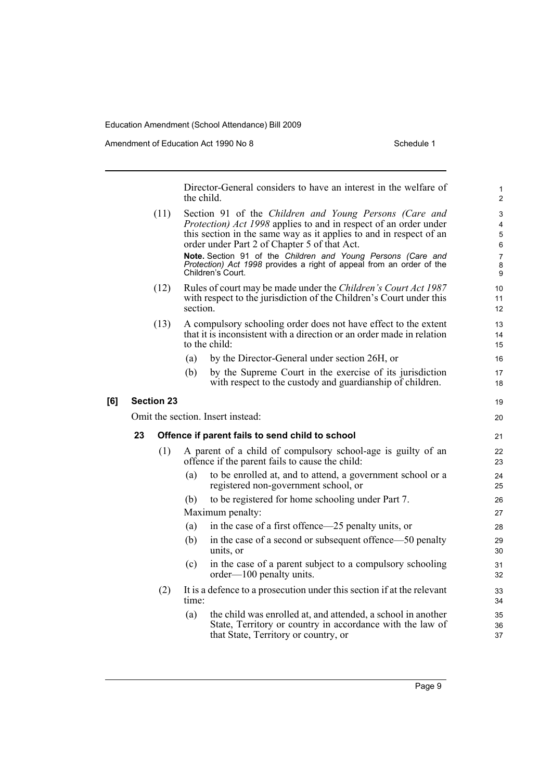Amendment of Education Act 1990 No 8 Schedule 1

Director-General considers to have an interest in the welfare of the child. (11) Section 91 of the *Children and Young Persons (Care and Protection) Act 1998* applies to and in respect of an order under this section in the same way as it applies to and in respect of an order under Part 2 of Chapter 5 of that Act. **Note.** Section 91 of the *Children and Young Persons (Care and Protection) Act 1998* provides a right of appeal from an order of the Children's Court. (12) Rules of court may be made under the *Children's Court Act 1987* with respect to the jurisdiction of the Children's Court under this section. (13) A compulsory schooling order does not have effect to the extent that it is inconsistent with a direction or an order made in relation to the child: (a) by the Director-General under section 26H, or (b) by the Supreme Court in the exercise of its jurisdiction with respect to the custody and guardianship of children. **[6] Section 23**  Omit the section. Insert instead: **23 Offence if parent fails to send child to school** (1) A parent of a child of compulsory school-age is guilty of an offence if the parent fails to cause the child: (a) to be enrolled at, and to attend, a government school or a registered non-government school, or (b) to be registered for home schooling under Part 7. Maximum penalty: (a) in the case of a first offence—25 penalty units, or (b) in the case of a second or subsequent offence—50 penalty units, or (c) in the case of a parent subject to a compulsory schooling order—100 penalty units. (2) It is a defence to a prosecution under this section if at the relevant time: (a) the child was enrolled at, and attended, a school in another State, Territory or country in accordance with the law of 1 2 3 4 5 6 7 8 9 10 11 12 13  $14$ 15 16 17 18 19 20 21 22 23  $24$ 25 26 27 28 29 30 31 32 33 34 35 36

that State, Territory or country, or

37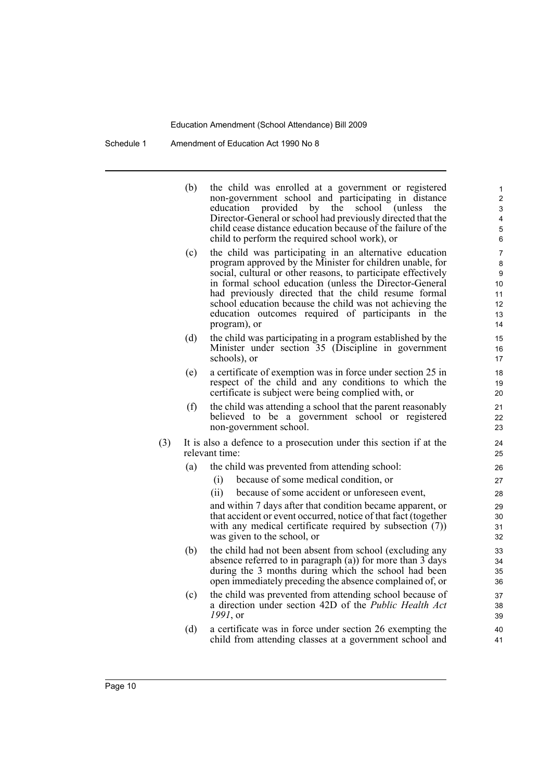Schedule 1 Amendment of Education Act 1990 No 8

|     | (b) | the child was enrolled at a government or registered<br>non-government school and participating in distance<br>education<br>provided by<br>school<br>(unless)<br>the<br>the<br>Director-General or school had previously directed that the<br>child cease distance education because of the failure of the<br>child to perform the required school work), or                                                                               | 1<br>$\overline{\mathbf{c}}$<br>3<br>4<br>5<br>6 |
|-----|-----|--------------------------------------------------------------------------------------------------------------------------------------------------------------------------------------------------------------------------------------------------------------------------------------------------------------------------------------------------------------------------------------------------------------------------------------------|--------------------------------------------------|
|     | (c) | the child was participating in an alternative education<br>program approved by the Minister for children unable, for<br>social, cultural or other reasons, to participate effectively<br>in formal school education (unless the Director-General<br>had previously directed that the child resume formal<br>school education because the child was not achieving the<br>education outcomes required of participants in the<br>program), or | 7<br>8<br>9<br>10<br>11<br>12<br>13<br>14        |
|     | (d) | the child was participating in a program established by the<br>Minister under section 35 (Discipline in government<br>schools), or                                                                                                                                                                                                                                                                                                         | 15<br>16<br>17                                   |
|     | (e) | a certificate of exemption was in force under section 25 in<br>respect of the child and any conditions to which the<br>certificate is subject were being complied with, or                                                                                                                                                                                                                                                                 | 18<br>19<br>20                                   |
|     | (f) | the child was attending a school that the parent reasonably<br>believed to be a government school or registered<br>non-government school.                                                                                                                                                                                                                                                                                                  | 21<br>22<br>23                                   |
| (3) |     | It is also a defence to a prosecution under this section if at the<br>relevant time:                                                                                                                                                                                                                                                                                                                                                       | 24<br>25                                         |
|     | (a) | the child was prevented from attending school:                                                                                                                                                                                                                                                                                                                                                                                             | 26                                               |
|     |     | because of some medical condition, or<br>(i)                                                                                                                                                                                                                                                                                                                                                                                               | 27                                               |
|     |     | because of some accident or unforeseen event,<br>(ii)                                                                                                                                                                                                                                                                                                                                                                                      | 28                                               |
|     |     | and within 7 days after that condition became apparent, or<br>that accident or event occurred, notice of that fact (together<br>with any medical certificate required by subsection (7))<br>was given to the school, or                                                                                                                                                                                                                    | 29<br>30<br>31<br>32                             |
|     | (b) | the child had not been absent from school (excluding any<br>absence referred to in paragraph (a)) for more than 3 days<br>during the 3 months during which the school had been<br>open immediately preceding the absence complained of, or                                                                                                                                                                                                 | 33<br>34<br>35<br>36                             |
|     | (c) | the child was prevented from attending school because of<br>a direction under section 42D of the <i>Public Health Act</i><br>$1991$ , or                                                                                                                                                                                                                                                                                                   | 37<br>38<br>39                                   |
|     | (d) | a certificate was in force under section 26 exempting the<br>child from attending classes at a government school and                                                                                                                                                                                                                                                                                                                       | 40<br>41                                         |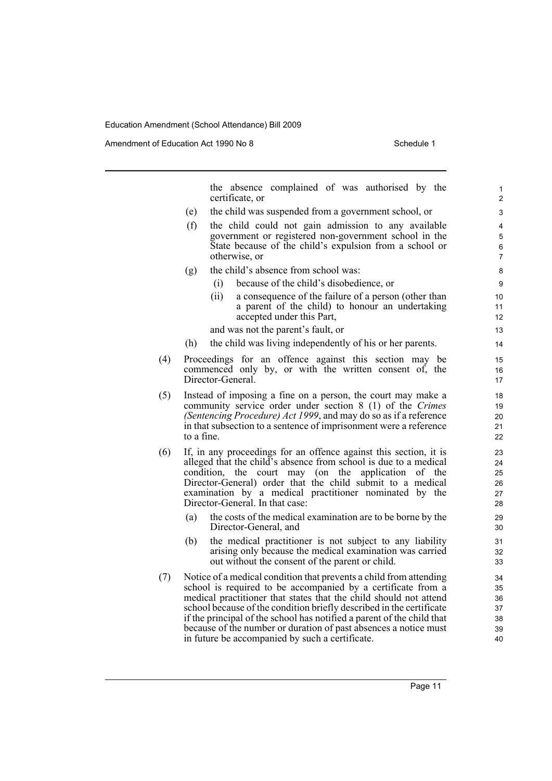Amendment of Education Act 1990 No 8 Schedule 1

the absence complained of was authorised by the certificate, or (e) the child was suspended from a government school, or (f) the child could not gain admission to any available government or registered non-government school in the State because of the child's expulsion from a school or otherwise, or (g) the child's absence from school was: (i) because of the child's disobedience, or (ii) a consequence of the failure of a person (other than a parent of the child) to honour an undertaking accepted under this Part, and was not the parent's fault, or (h) the child was living independently of his or her parents. (4) Proceedings for an offence against this section may be commenced only by, or with the written consent of, the Director-General. (5) Instead of imposing a fine on a person, the court may make a community service order under section 8 (1) of the *Crimes (Sentencing Procedure) Act 1999*, and may do so as if a reference in that subsection to a sentence of imprisonment were a reference to a fine. (6) If, in any proceedings for an offence against this section, it is alleged that the child's absence from school is due to a medical condition, the court may (on the application of the Director-General) order that the child submit to a medical examination by a medical practitioner nominated by the Director-General. In that case: (a) the costs of the medical examination are to be borne by the Director-General, and (b) the medical practitioner is not subject to any liability arising only because the medical examination was carried out without the consent of the parent or child. (7) Notice of a medical condition that prevents a child from attending school is required to be accompanied by a certificate from a medical practitioner that states that the child should not attend school because of the condition briefly described in the certificate if the principal of the school has notified a parent of the child that because of the number or duration of past absences a notice must in future be accompanied by such a certificate. 1 2  $\overline{a}$ 4 5 6 7 8 9 10 11 12 13 14 15 16 17 18 19 20 21 22 23 24 25 26 27 28 29 30 31 32 33 34 35 36 37 38 39 40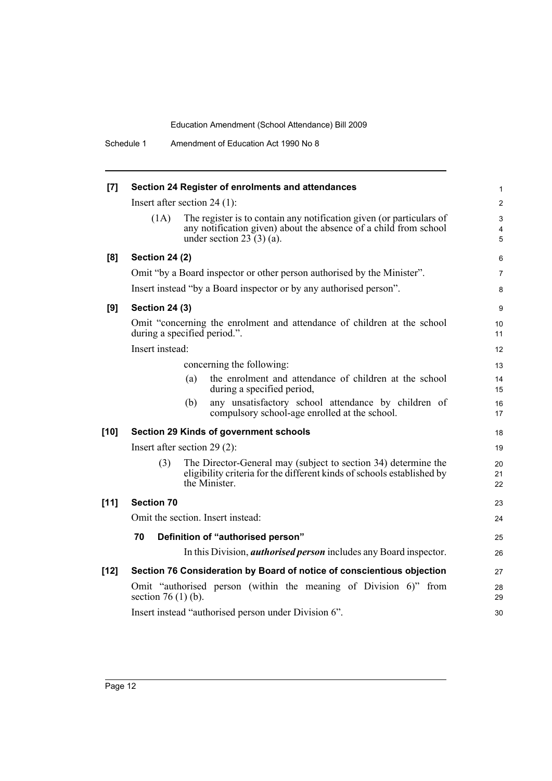Schedule 1 Amendment of Education Act 1990 No 8

| [7]    | Section 24 Register of enrolments and attendances                                                                                                                               | 1              |  |
|--------|---------------------------------------------------------------------------------------------------------------------------------------------------------------------------------|----------------|--|
|        | Insert after section 24 $(1)$ :                                                                                                                                                 | $\overline{c}$ |  |
|        | The register is to contain any notification given (or particulars of<br>(1A)<br>any notification given) about the absence of a child from school<br>under section 23 $(3)(a)$ . | 3<br>4<br>5    |  |
| [8]    | <b>Section 24 (2)</b>                                                                                                                                                           | 6              |  |
|        | Omit "by a Board inspector or other person authorised by the Minister".                                                                                                         | 7              |  |
|        | Insert instead "by a Board inspector or by any authorised person".                                                                                                              | 8              |  |
| [9]    | <b>Section 24 (3)</b>                                                                                                                                                           | 9              |  |
|        | Omit "concerning the enrolment and attendance of children at the school<br>during a specified period.".                                                                         | 10<br>11       |  |
|        | Insert instead:                                                                                                                                                                 | 12             |  |
|        | concerning the following:                                                                                                                                                       | 13             |  |
|        | the enrolment and attendance of children at the school<br>(a)<br>during a specified period,                                                                                     | 14<br>15       |  |
|        | any unsatisfactory school attendance by children of<br>(b)<br>compulsory school-age enrolled at the school.                                                                     | 16<br>17       |  |
| $[10]$ | Section 29 Kinds of government schools                                                                                                                                          | 18             |  |
|        | Insert after section $29(2)$ :                                                                                                                                                  | 19             |  |
|        | The Director-General may (subject to section 34) determine the<br>(3)<br>eligibility criteria for the different kinds of schools established by<br>the Minister.                | 20<br>21<br>22 |  |
| $[11]$ | <b>Section 70</b>                                                                                                                                                               | 23             |  |
|        | Omit the section. Insert instead:                                                                                                                                               |                |  |
|        | 70<br>Definition of "authorised person"                                                                                                                                         | 25             |  |
|        | In this Division, <i>authorised person</i> includes any Board inspector.                                                                                                        | 26             |  |
| $[12]$ | Section 76 Consideration by Board of notice of conscientious objection                                                                                                          | 27             |  |
|        | Omit "authorised person (within the meaning of Division 6)" from<br>section 76 $(1)$ $(b)$ .                                                                                    | 28<br>29       |  |
|        | Insert instead "authorised person under Division 6".                                                                                                                            | 30             |  |